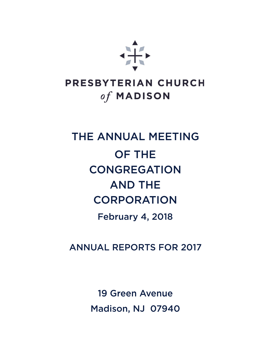

## PRESBYTERIAN CHURCH of MADISON

# THE ANNUAL MEETING **OF THE CONGREGATION AND THE CORPORATION**

**February 4, 2018** 

**ANNUAL REPORTS FOR 2017** 

**19 Green Avenue** Madison, NJ 07940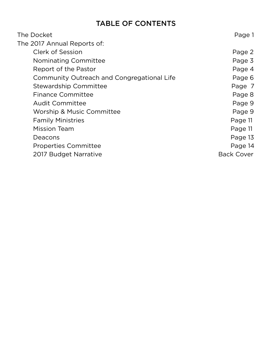### **TABLE OF CONTENTS**

| The Docket                                 | Page 1            |
|--------------------------------------------|-------------------|
| The 2017 Annual Reports of:                |                   |
| <b>Clerk of Session</b>                    | Page 2            |
| Nominating Committee                       | Page 3            |
| Report of the Pastor                       | Page 4            |
| Community Outreach and Congregational Life | Page 6            |
| Stewardship Committee                      | Page 7            |
| <b>Finance Committee</b>                   | Page 8            |
| <b>Audit Committee</b>                     | Page 9            |
| <b>Worship &amp; Music Committee</b>       | Page 9            |
| <b>Family Ministries</b>                   | Page 11           |
| <b>Mission Team</b>                        | Page 11           |
| Deacons                                    | Page 13           |
| <b>Properties Committee</b>                | Page 14           |
| 2017 Budget Narrative                      | <b>Back Cover</b> |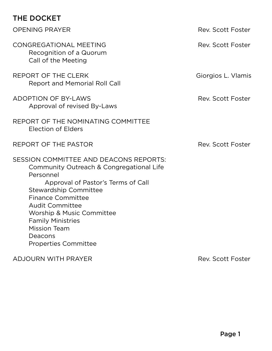#### THE DOCKET

| !!」∟ レヘヘハ∟!                                                                                                                                                                                                                                                                                                                                                  |                    |
|--------------------------------------------------------------------------------------------------------------------------------------------------------------------------------------------------------------------------------------------------------------------------------------------------------------------------------------------------------------|--------------------|
| <b>OPENING PRAYER</b>                                                                                                                                                                                                                                                                                                                                        | Rev. Scott Foster  |
| <b>CONGREGATIONAL MEETING</b><br>Recognition of a Quorum<br>Call of the Meeting                                                                                                                                                                                                                                                                              | Rev. Scott Foster  |
| REPORT OF THE CLERK<br>Report and Memorial Roll Call                                                                                                                                                                                                                                                                                                         | Giorgios L. Vlamis |
| <b>ADOPTION OF BY-LAWS</b><br>Approval of revised By-Laws                                                                                                                                                                                                                                                                                                    | Rev. Scott Foster  |
| REPORT OF THE NOMINATING COMMITTEE<br><b>Election of Elders</b>                                                                                                                                                                                                                                                                                              |                    |
| REPORT OF THE PASTOR                                                                                                                                                                                                                                                                                                                                         | Rev. Scott Foster  |
| <b>SESSION COMMITTEE AND DEACONS REPORTS:</b><br>Community Outreach & Congregational Life<br>Personnel<br>Approval of Pastor's Terms of Call<br><b>Stewardship Committee</b><br><b>Finance Committee</b><br><b>Audit Committee</b><br>Worship & Music Committee<br><b>Family Ministries</b><br><b>Mission Team</b><br>Deacons<br><b>Properties Committee</b> |                    |

ADJOURN WITH PRAYER ADJOURN WITH PRAYER REV. THE SAME REV. THE SAME REV. SCOTT FOR SAME REV. SAME REV. SAME REV.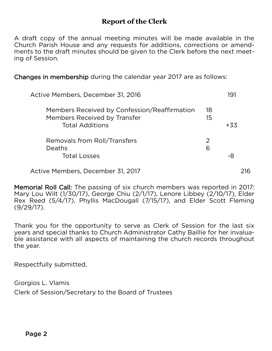#### **Report of the Clerk**

A draft copy of the annual meeting minutes will be made available in the Church Parish House and any requests for additions, corrections or amendments to the draft minutes should be given to the Clerk before the next meeting of Session. ing of Session.

Changes in membership during the calendar year 2017 are as follows: Changes in membership during the calendar year 2017 are as follows:

| Active Members, December 31, 2016                                                                      | 191      |       |
|--------------------------------------------------------------------------------------------------------|----------|-------|
| Members Received by Confession/Reaffirmation<br>Members Received by Transfer<br><b>Total Additions</b> | 18<br>15 | $+33$ |
| Removals from Roll/Transfers<br><b>Deaths</b><br><b>Total Losses</b>                                   | 2<br>6   | -8    |
| Active Members, December 31, 2017                                                                      |          | 216   |

Memorial Roll Call: The passing of six church members was reported in 2017:<br>Mary Lou Wilt (1/30/17), George Chiu (2/1/17), Lenore Libbey (2/10/17), Elder Rex Reed (5/4/17), Phyllis MacDougall (7/15/17), and Elder Scott Fleming  $(9/29/17)$ , Phyllis MacDougall (7,15/17), and Elder Scott Fleming  $\left(1, 2, 3, 7\right)$ 

Thank you for the opportunity to serve as Clerk of Session for the last six years and special thanks to Church Administrator Cathy Baillie for her invaluable assistance with all aspects of maintaining the church records throughout ble assistance with all aspects of maintaining the church records throughout the year.

Respectfully submitted,

Giorgios L. Vlamis<br>Clerk of Session/Secretary to the Board of Trustees Clerk of Session/Secretary to the Board of Trustees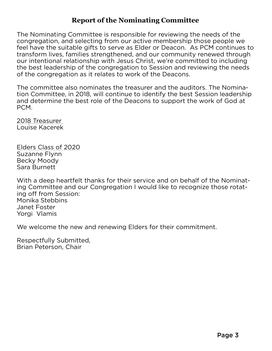#### **Report of the Nominating Committee**

The Nominating Committee is responsible for reviewing the needs of the feel have the suitable gifts to serve as Elder or Deacon. As PCM continues to transform lives, families strengthened, and our community renewed through our intentional relationship with Jesus Christ, we're committed to including the best leadership of the congregation to Session and reviewing the needs of the congregation as it relates to work of the Deacons. of the congregation as it relates to work of the Deacons.

The committee also nominates the treasurer and the auditors. The Nomination Committee, in 2018, will continue to identify the best Session leadership and determine the best role of the Deacons to support the work of God at and determine the best role of the Deacons to support the work of God at PCM.

<u>2018 Treasurer</u><br>Louise Kacerek Louise Kacerek

Elders Class of 2020<br>Suzanne Flynn Becky Moody Sara Burnett Sara Burnett

With a deep heartfelt thanks for their service and on behalf of the Nominat-<br>ing Committee and our Congregation I would like to recognize those rotating off from Session: Monika Stebbins Janet Foster Yorgi Vlamis Yorgi Vlamis

We welcome the new and renewing Elders for their commitment. We welcome the new and renewing Elders for their commitment.

Respectfully Submitted,<br>Brian Peterson, Chair Brian Peterson, Chair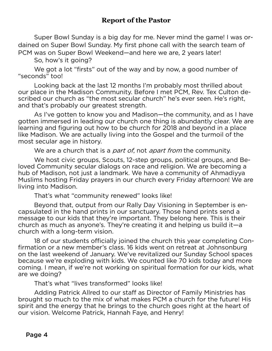#### **Report of the Pastor**

Super Bowl Sunday is a big day for me. Never mind the game! I was or-<br>dained on Super Bowl Sunday. My first phone call with the search team of PCM was on Super Bowl Weekend—and here we are, 2 years later!

So, how's it going?

We got a lot "firsts" out of the way and by now, a good number of "seconds" too!

Looking back at the last 12 months I'm probably most thrilled about our place in the Madison Community. Before I met PCM, Rev. Tex Culton described our church as "the most secular church" he's ever seen. He's right, and that's probably our greatest strength.

As I've gotten to know you and Madison-the community, and as I have gotten immersed in leading our church one thing is abundantly clear. We are learning and figuring out how to be church for 2018 and beyond in a place. like Madison. We are actually living into the Gospel and the turmoil of the most secular age in history.

most secular age in history. We are a church that is a *part of*, not *apart from* the community.<br>We hast sixte we we focate 12 the weever as litied we were

We host civic groups, Scouts, 12-step groups, political groups, and Be-<br>loved Community secular dialogs on race and religion. We are becoming a hub of Madison, not just a landmark. We have a community of Ahmadiyya Muslims hosting Friday prayers in our church every Friday afternoon! We are living into Madison.

That's what "community renewed" looks like!

Beyond that, output from our Rally Day Visioning in September is encapsulated in the hand prints in our sanctuary. Those hand prints send a message to our kids that they're important. They belong here. This is their church as much as anyone's. They're creating it and helping us build it  $-a$ church with a long-term vision.

18 of our students officially joined the church this year completing Confirmation or a new member's class. 16 kids went on retreat at Johnsonburg on the last weekend of January. We've revitalized our Sunday School spaces. because we're exploding with kids. We counted like 70 kids today and more coming. I mean, if we're not working on spiritual formation for our kids, what are we doing?

That's what "lives transformed" looks like!

Adding Patrick Allred to our staff as Director of Family Ministries has brought so much to the mix of what makes PCM a church for the future! His spirit and the energy that he brings to the church goes right at the heart of our vision. Welcome Patrick, Hannah Faye, and Henry! our vision. Welcome Patrick, Hannah Faye, and Henry!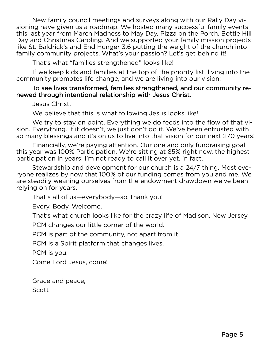New family council meetings and surveys along with our Rally Day visioning have given us a roadmap. We hosted many successful family events this last year from March Madness to May Day, Pizza on the Porch, Bottle Hill Day and Christmas Caroling. And we supported your family mission projects like St. Baldrick's and End Hunger 3.6 putting the weight of the church into family community projects. What's your passion? Let's get behind it!

That's what "families strengthened" looks like!

If we keep kids and families at the top of the priority list, living into the community promotes life change, and we are living into our vision:

#### To see lives transformed, families strengthened, and our community renewed through intentional relationship with Jesus Christ. newed through intentional relationship with Jesus Christ.

We believe that this is what following Jesus looks like!

We try to stay on point. Everything we do feeds into the flow of that vision. Everything. If it doesn't, we just don't do it. We've been entrusted with so many blessings and it's on us to live into that vision for our next 270 years!

Financially, we're paying attention. Our one and only fundraising goal this year was 100% Participation. We're sitting at 85% right now, the highest participation in years! I'm not ready to call it over yet, in fact.

Stewardship and development for our church is a 24/7 thing. Most everyone realizes by now that 100% of our funding comes from you and me. We are steadily weaning ourselves from the endowment drawdown we've been relying on for years.

That's all of us-everybody-so, thank you!

Every. Body. Welcome.

That's what church looks like for the crazy life of Madison. New Jersey.

PCM changes our little corner of the world.

PCM is part of the community, not apart from it.

PCM is a Spirit platform that changes lives.

PCM is you.

Come Lord Jesus, come! Come Lord Jesus, come!

Grace and peace,<br>Scott

Scott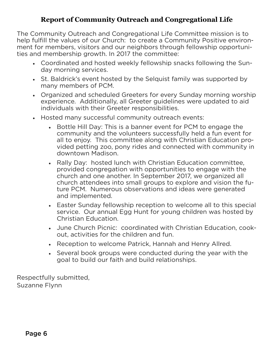#### **Report of Community Outreach and Congregational Life**

The Community Outreach and Congregational Life Committee mission is to ment for members, visitors and our neighbors through fellowship opportunities and membership growth. In 2017 the committee:

- ties and membership growth. In 2017 the committee: • Coordinated and hosted weekly fellowship snacks following the Sun
	- day morning services. • St. Baldrick's event hosted by the Selquist family was supported by many members of PCM.
	- Organized and scheduled Greeters for every Sunday morning worship experience. Additionally, all Greeter guidelines were updated to aid individuals with their Greeter responsibilities.
	- individuals with their Greeter responsibilities. • Hosted many successful community outreach events:
		- Bottle Hill Day: This is a banner event for PCM to engage the community and the volunteers successfully held a fun event for all to enjoy. This committee along with Christian Education provided petting zoo, pony rides and connected with community in downtown Madison.
		- Rally Day: hosted lunch with Christian Education committee, provided congregation with opportunities to engage with the church and one another. In September 2017, we organized all church attendees into small groups to explore and vision the future PCM. Numerous observations and ideas were generated and implemented.
		- Easter Sunday fellowship reception to welcome all to this special service. Our annual Egg Hunt for young children was hosted by Christian Education.
		- Christian Education. • June Church Picnic: coordinated with Christian Education, cook-
		- out, activities for the children and fun. • Reception to welcome Patrick, Hannah and Henry Allred.
		- Several book groups were conducted during the year with the goal to build our faith and build relationships. goal to build our faith and build relationships.

Respectfully submitted,<br>Suzanne Flynn Suzanne Flynn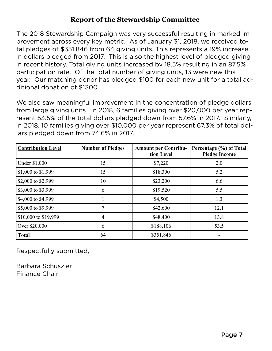#### **Report of the Stewardship Committee**

The 2018 Stewardship Campaign was very successful resulting in marked imtal pledges of \$351,846 from 64 giving units. This represents a 19% increase in dollars pledged from 2017. This is also the highest level of pledged giving in recent history. Total giving units increased by 18.5% resulting in an 87.5% participation rate. Of the total number of giving units, 13 were new this year. Our matching donor has pledged \$100 for each new unit for a total additional donation of \$1300. ditional donation of \$1300.

We also saw meaningful improvement in the concentration of pledge dollars from large giving units. In 2018, 6 families giving over \$20,000 per year represent 53.5% of the total dollars pledged down from 57.6% in 2017. Similarly, in 2018, 10 families giving over \$10,000 per year represent 67.3% of total dollars pledged down from 74.6% in 2017. lars pledged down from 74.6% in 2017.

| <b>Contribution Level</b> | <b>Number of Pledges</b> | <b>Amount per Contribu-</b><br>tion Level | Percentage (%) of Total<br><b>Pledge Income</b> |  |  |
|---------------------------|--------------------------|-------------------------------------------|-------------------------------------------------|--|--|
| <b>Under \$1,000</b>      | 15                       | \$7,220                                   | 2.0                                             |  |  |
| \$1,000 to \$1,999        | 15                       | \$18,300                                  | 5.2                                             |  |  |
| \$2,000 to \$2,999        | 10                       | \$23,200                                  | 6.6                                             |  |  |
| \$3,000 to \$3,999        | 6                        | \$19,520                                  | 5.5                                             |  |  |
| \$4,000 to \$4,999        |                          | \$4,500                                   | 1.3                                             |  |  |
| \$5,000 to \$9,999        |                          | \$42,600                                  | 12.1                                            |  |  |
| \$10,000 to \$19,999      | $\overline{4}$           | \$48,400                                  | 13.8                                            |  |  |
| Over \$20,000             | 6                        | \$188,106                                 | 53.5                                            |  |  |
| <b>Total</b>              | 64                       | \$351,846                                 |                                                 |  |  |

Respectfully submitted,

Barbara Schuszler Finance Chair Finance Chair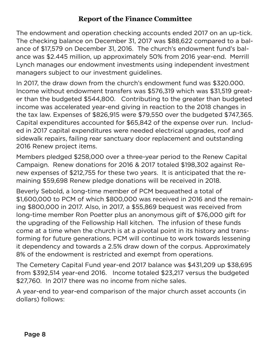#### **Report of the Finance Committee**

The endowment and operation checking accounts ended 2017 on an up-tick. ance of \$17,579 on December 31, 2016. The church's endowment fund's balance was \$2.445 million, up approximately 50% from 2016 year-end. Merrill Lynch manages our endowment investments using independent investment managers subject to our investment guidelines.

In 2017, the draw down from the church's endowment fund was \$320.000. Income without endowment transfers was \$576.319 which was \$31.519 greater than the budgeted \$544,800. Contributing to the greater than budgeted income was accelerated year-end giving in reaction to the 2018 changes in the tax law. Expenses of  $$826,915$  were  $$79,550$  over the budgeted  $$747,365$ . Capital expenditures accounted for \$65,842 of the expense over run. Included in 2017 capital expenditures were needed electrical upgrades, roof and sidewalk repairs, failing rear sanctuary door replacement and outstanding 2016 Renew project items. 2016 Renew project items.

Members pledged \$258,000 over a three-year period to the Renew Capital new expenses of \$212,755 for these two years. It is anticipated that the remaining \$59,698 Renew pledge donations will be received in 2018.

Beverly Sebold, a long-time member of PCM bequeathed a total of  $$1,600,000$  to PCM of which  $$800,000$  was received in 2016 and the remaining \$800,000 in 2017. Also, in 2017, a \$55,869 bequest was received from long-time member Ron Poetter plus an anonymous gift of \$76,000 gift for the upgrading of the Fellowship Hall kitchen. The infusion of these funds the upgrading upgrading come at a protection in the ship tensts come at a time when the church is at a pivotal point in its history and transforming for future generations. PCM will continue to work towards lessening it dependency and towards a 2.5% draw down of the corpus. Approximately 8% of the endowment is restricted and exempt from operations.

The Cemetery Capital Fund year-end 2017 balance was \$431,209 up \$38,695 from \$392,514 year-end 2016. Income totaled \$23,217 versus the budgeted \$27,760. In 2017 there was no income from niche sales.

\$27,760. In 2017 there was no income from niche sales. A year-end to year-end to your comparison of the major church asset accounts (in  $\sim$  $\frac{d}{dt}$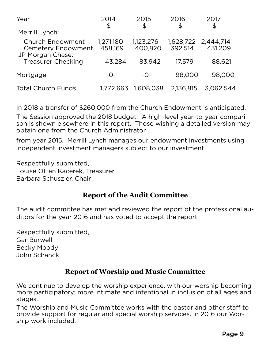| 2014                 | 2015                 | 2016      | 2017<br>\$                |  |
|----------------------|----------------------|-----------|---------------------------|--|
|                      |                      |           |                           |  |
| 1,271,180<br>458,169 | 1,123,276<br>400,820 | 392,514   | 431,209                   |  |
| 43,284               | 83,942               | 17,579    | 88,621                    |  |
| $-O-$                | $-$ O $-$            | 98,000    | 98,000                    |  |
| 1,772,663            | 1,608,038            | 2,136,815 | 3.062.544                 |  |
|                      | \$                   | \$        | \$<br>1,628,722 2,444,714 |  |

In 2018 a transfer of \$260,000 from the Church Endowment is anticipated. son is shown elsewhere in this report. Those wishing a detailed version may obtain one from the Church Administrator.

from year 2015. Merrill Lynch manages our endowment investments using independent investment managers subject to our investment independent investment managers subject to our investment

Respectfully submitted,<br>Louise Otten Kacerek. Treasurer Barbara Schuszler, Chair Barbara Schuszler, Chair

#### **Report of the Audit Committee**

The audit committee has met and reviewed the report of the professional au-<br>ditors for the year 2016 and has voted to accept the report. ditors for the year 2016 and has voted to accept the report.

Respectfully submitted,<br>Gar Burwell Becky Moody John Schanck John Schanck

#### **Report of Worship and Music Committee**

We continue to develop the worship experience, with our worship becoming<br>more participatory; more intimate and intentional in inclusion of all ages and  $\frac{1}{\sqrt{2}}$  more intimate and intentional intentional intention of all ages and inclusion of all ages and inclusion of all ages and inclusion of all ages and inclusion of all ages and inclusion of all ages and inclusion

stages.<br>The Worship and Music Committee works with the pastor and other staff to provide support for regular and special worship services. In 2016 our Worship work included: ship work included: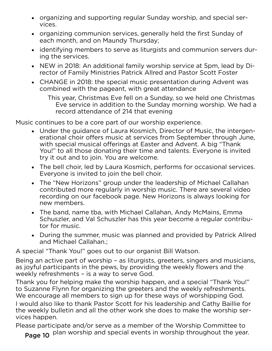- organizing and supporting regular Sunday worship, and special ser-
- vices. • organizing communion services, generally held the first Sunday of
- each month, and on Maundy Thursday; • identifying members to serve as liturgists and communion servers dur-
- $\sum$  in  $\sum$  the services. • NEW in 2018: An additional family worship service at 5pm, lead by Di-
- rector of Family Ministers Patrick Allen and Patrick Allred and Patrick Allred and Patrick Allied Allied Allied Allied Allied Allied Allied Allied Allied Allied Allied Allied Allied Allied Allied Allied Allied Allied Allie • CHANGE in 2018: the special music presentation during Advent was combined with the pageant, with great attendance combined with the pageant, with great attendance

Eve service in addition to the Sunday morning worship. We had a record attendance of 214 that evening. record attendance of 214 that evening

- Music continues to be a core part of our worship experience. • Under the guidance of Laura Kosmich, Director of Music, the intergenwith special musical offerings at Easter and Advent. A big "Thank You!" to all those donating their time and talents. Everyone is invited try it out and to join. You are welcome.
	- try it out and to join. You are welcome.<br>The health health had been are welcome. • The bell choir, led by Laura Kosmich, performs for occasional services.<br>Fvervone is invited to join the bell choir.
	- Everyone is invited to join the bell choir. • The "New Horizons" group under the leadership of Michael Callahan contributed more regularly in worship music. There are several video new members.
	- new members.<br>The bend mem • The band, name tba, with Michael Callahan, Andy McMains, Emma Schuszler, and Val Schuszler has this year become a regular contribu-<br>tor for music.
	- tor for music. • During the summer, music was planned and provided by Patrick Allred<br>• and Michael Callahan

A special "Thank You!" goes out to our organist Bill Watson.

Being an active part of worship - as liturgists, greeters, singers and musicians, as joyful participants in the pews, by providing the weekly flowers and the weekly refreshments - is a way to serve God.

Thank you for helping make the worship happen, and a special "Thank You!" to Suzanne Flynn for organizing the greeters and the weekly refreshments. We encourage all members to sign up for these ways of worshipping God.

I would also like to thank Pastor Scott for his leadership and Cathy Baillie for the weekly bulletin and all the other work she does to make the worship services happen.

Please participate and/or serve as a member of the Worship Committee to  $\epsilon$  plan worship and special events in worship throughout the year plan worship and special events in worship throughout the year.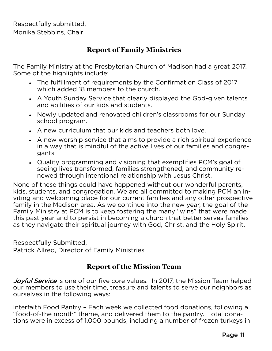Respectfully submitted, Monika Stebbins, Chair

#### **Report of Family Ministries**

The Family Ministry at the Presbyterian Church of Madison had a great 2017.

- $\frac{1}{\pi}$  Some of the highest  $\frac{1}{\pi}$  of the surface  $\frac{1}{\pi}$ • The fulfillment of requirements by the Confirmation Class of 2017
	- which added 18 members to the church. • A Youth Sunday Service that clearly displayed the God-given talents<br>- and abilities of our kids and students.
	- and abilities of our finds and students. • Newly updated and renovated children's classrooms for our Sunday
	- school program. • A new curriculum that our kids and teachers both love.
	- A new worship service that aims to provide a rich spiritual experience<br>in a way that is mindful of the active lives of our families and congre $a$  and  $s$ gants.<br>Cuality programming and visioning that exemplifies PCM's goal of Quality programming and visioning that exemplifies
	- seeing lives transformed, families strengthened, and community renewed through intentional relationship with Jesus Christ.

None of these things could have happened without our wonderful parents, kids, students, and congregation. We are all committed to making PCM an inviting and welcoming place for our current families and any other prospective family in the Madison area. As we continue into the new year, the goal of the Family Ministry at PCM is to keep fostering the many "wins" that were made this past year and to persist in becoming a church that better serves families as they navigate their spiritual journey with God, Christ, and the Holy Spirit. as they navigate their spiritual journey with God, Christ, and the Holy Spirit.

Respectfully Submitted,<br>Patrick Allred, Director of Family Ministries Patrick Allred, Director of Family Ministries

#### **Report of the Mission Team**

Joyful Service is one of our five core values. In 2017, the Mission Team helped<br>our members to use their time, treasure and talents to serve our neighbors as our selves in the following ways: ourselves in the following ways:

Interfaith Food Pantry - Each week we collected food donations, following a "food-of-the month" theme, and delivered them to the pantry. Total donations were in excess of 1,000 pounds, including a number of frozen turkeys in tions were in excess of 1,000 pounds, including a number of frozen turkeys in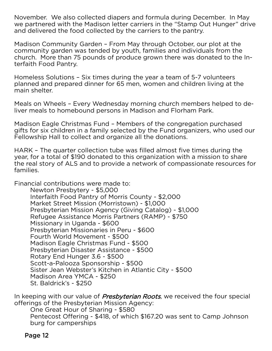November. We also collected diapers and formula during December. In May we partnered with the Madison letter carriers in the "Stamp Out Hunger" drive and delivered the food collected by the carriers to the pantry. and delivered the food collected by the carriers to the pantry.

Madison Community Garden - From May through October, our plot at the community garden was tended by youth, families and individuals from the church. More than 75 pounds of produce grown there was donated to the Interfaith Food Pantry. terfaith Food Pantry.

Homeless Solutions - Six times during the year a team of 5-7 volunteers<br>planned and prepared dinner for 65 men, women and children living at the main shelter. main shelter.

Meals on Wheels - Every Wednesday morning church members helped to de-<br>liver meals to homebound persons in Madison and Florham Park. liver meals to homebound persons in Madison and Florham Park.

Madison Eagle Christmas Fund - Members of the congregation purchased<br>gifts for six children in a family selected by the Fund organizers, who used our Fellowship Hall to collect and organize all the donations. Fellowship Hall to collect and organize all the donations.

HARK – The quarter collection tube was filled almost five times during the year, for a total of \$190 donated to this organization with a mission to share the real story of ALS and to provide a network of compassionate resources for the real story of  $\mathcal{L}$  and to provide a network of compassionate resources for comparison  $\mathcal{L}$ families.

Financial contributions were made to:

Newton Presbytery - \$5,000 Interfaith Food Pantry of Morris County - \$2,000 Market Street Mission (Morristown) - \$1,000 Presbyterian Mission Agency (Giving Catalog) - \$1,000 Refugee Assistance Morris Partners (RAMP) - \$750 Missionary in Uganda - \$600 Presbyterian Missionaries in Peru - \$600 Fourth World Movement - \$500 Madison Eagle Christmas Fund - \$500 Presbyterian Disaster Assistance - \$500 Rotary End Hunger 3.6 - \$500 Scott-a-Palooza Sponsorship - \$500 Sister Jean Webster's Kitchen in Atlantic City - \$500 Madison Area YMCA - \$250 St. Baldrick's - \$250 st. Baldrick's - \$250

In keeping with our value of *Presbyterian Roots*, we received the four special offerings of the Presbyterian Mission Agency:

One Great Hour of Sharing - \$580 Pentecost Offering - \$418, of which \$167.20 was sent to Camp Johnson burg for camperships burg for campers here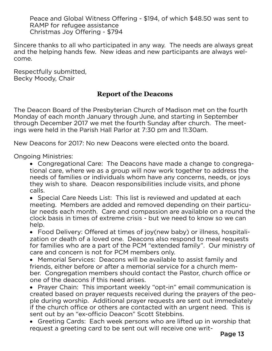Peace and Global Witness Offering - \$194, of which \$48.50 was sent to RAMP for refugee assistance Christmas Joy Offering - \$794 Christmas Joy Offering - \$794

Sincere thanks to all who participated in any way. The needs are always great and the helping hands few. New ideas and new participants are always weland the helping hands few. New ideas and new participants are always welcome.

Respectfully submitted,<br>Becky Moody, Chair  $\mathcal{L}$  and  $\mathcal{L}$  are  $\mathcal{L}$  and  $\mathcal{L}$ 

#### **Report of the Deacons**

The Deacon Board of the Presbyterian Church of Madison met on the fourth<br>Monday of each month January through June, and starting in September through December 2017 we met the fourth Sunday after church. The meetings were held in the Parish Hall Parlor at 7:30 pm and 11:30 am. ings were held in the Parish Hall Parlor at 7:30 pm and 11:30am.

New Deacons for 2017: No new Deacons were elected onto the board. New Deacons for 2017: No new Deacons were elected onto the board.

**Ongoing Ministries:** 

Congregational Care: The Deacons have made a change to congrega-<br>tional care where we as a group will now work together to address the tional care, where we as a group will now work together to address the they wish to share. Deacon responsibilities include visits, and phone they wish to share. Deacon responsibilities include visits, and phone.<br>Calls.

• Special Care Needs List: This list is reviewed and updated at each<br>meeting Members are added and removed depending on their partic meeting. Members are added and removed depending on their particu-<br>lar needs each month. Care and compassion are available on a round the clock basis in times of extreme crisis - but we need to know so we can crock basis in times of extreme crisis - but we need to know so we can.<br>help.

• Food Delivery: Offered at times of joy(new baby) or illness, hospitali-<br>zation or death of a loved one Deacons also respond to meal requests zation or death of a loved one. Deacons also respond to meal requests<br>for families who are a part of the PCM "extended family". Our ministry of care and concern is not for PCM members only.

• Memorial Services: Deacons will be available to assist family and<br>friends either before or after a memorial service for a church member. Congregation members should contact the Pastor, church office or one of the deacons if this need arises.

• Prayer Chain: This important weekly "opt-in" email communication is<br>created based on prayer requests received during the prayers of the peo created based on prayer requests received during the prayers of the peoif the church office or others are contacted with an urgent need. This is sent out by an "ex-officio Deacon" Scott Stebbins.

• Greeting Cards: Each week persons who are lifted up in worship that request a greeting card to be sent out will receive one writrequest a greeting card to be sent out will receive out will receive out will receive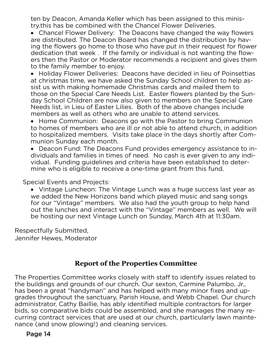ten by Deacon, Amanda Keller which has been assigned to this minis-<br>try.this has be combined with the Chancel Flower Deliveries.

• Chancel Flower Delivery: The Deacons have changed the way flowers<br>are distributed The Deacon Board has changed the distribution by havare distributed. The Deacon Board has changed the distribution by hav-<br>ing the flowers go home to those who have put in their request for flower dedication that week. If the family or individual is not wanting the flowers then the Pastor or Moderator recommends a recipient and gives them to the family member to enjoy.

• Holiday Flower Deliveries: Deacons have decided in lieu of Poinsettias<br>• Holiday Flower Deliveries: Deacons have decided in lieu of Poinsettias at christmas time, we have asked the Sunday School children to help as-<br>sist us with making homemade Christmas cards and mailed them to those on the Special Care Needs List. Easter flowers planted by the Sunday School Children are now also given to members on the Special Care Needs list, in Lieu of Easter Lilies. Both of the above changes include members as well as others who are unable to attend services.

• Home Communion: Deacons go with the Pastor to bring Communion<br>to homes of members who are ill or not able to attend church in addition to homes of members who are ill or not able to attend church, in addition<br>to hospitalized members. Visits take place in the days shortly after Communion Sunday each month.

• Deacon Fund: The Deacons Fund provides emergency assistance to in-<br>dividuals and families in times of need No cash is ever given to any indidividuals and families in times of need. No cash is ever given to any indimine who is eligible to receive a one-time grant from this fund. mine who is eligible to receive a one-time grant from this fund.

**Special Events and Projects:** 

• Vintage Luncheon: The Vintage Lunch was a huge success last year as<br>we added the New Horizons band which played music and sang songs we added the New Horizons band which played music and sang songs<br>for our "Vintage" members. We also had the youth group to help hand out the lunches and interact with the "Vintage" members as well. We will be hosting our next Vintage Lunch on Sunday. March 4th at 11:30am. be hosting our next Vintage Lunch on Sunday, March 4th at 11:30am.

Respectfully Submitted,<br>Jennifer Hewes, Moderator Jennifer Hewes, Moderator

#### **Report of the Properties Committee**

The Properties Committee works closely with staff to identify issues related to the buildings and grounds of our church. Our sexton, Carmine Palumbo, Jr., has been a great "handyman" and has helped with many minor fixes and upgrades throughout the sanctuary, Parish House, and Webb Chapel. Our church administrator, Cathy Baillie, has ably identified multiple contractors for larger bids, so comparative bids could be assembled, and she manages the many recurring contract services that are used at our church, particularly lawn maintenance (and snow plowing!) and cleaning services. nance (and snow plowing!) and cleaning services.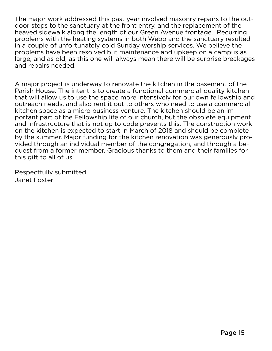The major work addressed this past year involved masonry repairs to the out-<br>door steps to the sanctuary at the front entry, and the replacement of the heaved sidewalk along the length of our Green Avenue frontage. Recurring problems with the heating systems in both Webb and the sanctuary resulted. in a couple of unfortunately cold Sunday worship services. We believe the problems have been resolved but maintenance and upkeep on a campus as large, and as old, as this one will always mean there will be surprise breakages and repairs needed. and repairs needed.

A major project is underway to renovate the kitchen in the basement of the Parish House. The intent is to create a functional commercial-quality kitchen that will allow us to use the space more intensively for our own fellowship and outreach needs, and also rent it out to others who need to use a commercial kitchen space as a micro business venture. The kitchen should be an important part of the Fellowship life of our church, but the obsolete equipment and infrastructure that is not up to code prevents this. The construction work on the kitchen is expected to start in March of 2018 and should be complete by the summer. Major funding for the kitchen renovation was generously provided through an individual member of the congregation, and through a bequest from a former member. Gracious thanks to them and their families for this gift to all of us!  $\frac{1}{\sqrt{2}}$ 

Respectfully submitted<br>Janet Foster Janet Foster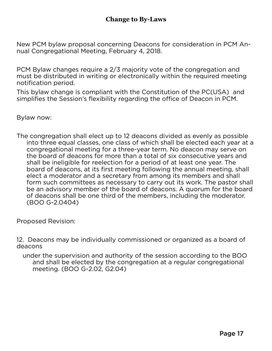New PCM bylaw proposal concerning Deacons for consideration in PCM An-<br>nual Congregational Meeting, February 4, 2018. nual Congregational Meeting, February 4, 2018.

PCM Bylaw changes require a 2/3 majority vote of the congregation and must be distributed in writing or electronically within the required meeting motification period.

This bylaw change is compliant with the Constitution of the PC(USA) and simplifies the Session's flexibility regarding the office of Deacon in PCM. simplifies the Session's flexibility regarding the office of Deacon in PCM.

 $\mathcal{L}$  by the now:

The congregation shall elect up to 12 deacons divided as evenly as possible<br>into three equal classes, one class of which shall be elected each year at a congregational meeting for a three-year term. No deacon may serve on the board of deacons for more than a total of six consecutive years and shall be ineligible for reelection for a period of at least one year. The board of deacons, at its first meeting following the annual meeting, shall elect a moderator and a secretary from among its members and shall form such committees as necessary to carry out its work. The pastor shall be an advisory member of the board of deacons. A quorum for the board of deacons shall be one third of the members, including the moderator.  $(BOO G-2.0404)$  $(20 - 20 - 20 - 12)$ 

Proposed Revision:

12. Deacons may be individually commissioned or organized as a board of deacons<br>under the supervision and authority of the session according to the BOO

and shall be elected by the congregation at a regular congregational meeting. (BOO G-2.02, G2.04)  $\mathcal{L}$